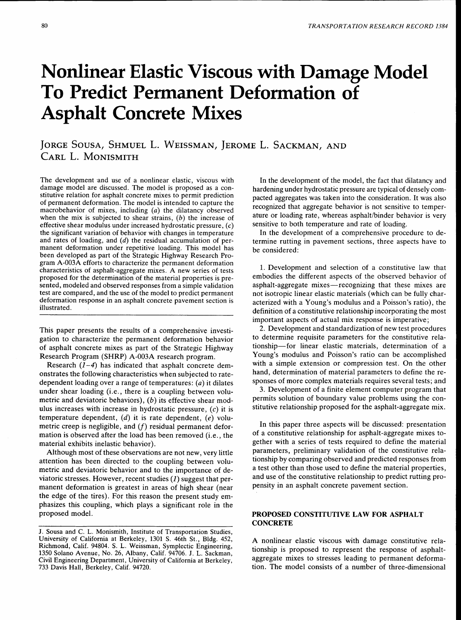# Nonlinear Elastic Viscous with Damage Model **To Predict Permanent Deformation of**  Asphalt Concrete Mixes

# JORGE SOUSA, SHMUEL L. WEISSMAN, JEROME L. SACKMAN, AND CARL L. MoNISMITH

The development and use of a nonlinear elastic, viscous with damage model are discussed. The model is proposed as a constitutive relation for asphalt concrete mixes to permit prediction of permanent deformation. The model is intended to capture the macrobehavior of mixes, including (a) the dilatancy observed when the mix is subjected to shear strains,  $(b)$  the increase of effective shear modulus under increased hydrostatic pressure,  $(c)$ the significant variation of behavior with changes in temperature and rates of loading, and  $(d)$  the residual accumulation of permanent deformation under repetitive loading. This model has been developed as part of the Strategic Highway Research Program A-003A efforts to characterize the permanent deformation characteristics of asphalt-aggregate mixes. A new series of tests proposed for the determination of the material properties is presented, modeled and observed responses from a simple validation test are compared, and the use of the model to predict permanent deformation response in an asphalt concrete pavement section is illustrated.

This paper presents the results of a comprehensive investigation to characterize the permanent deformation behavior of asphalt concrete mixes as part of the Strategic Highway Research Program (SHRP) A-003A research program.

Research  $(1-4)$  has indicated that asphalt concrete demonstrates the following characteristics when subjected to ratedependent loading over a range of temperatures: *(a)* it dilates under shear loading (i.e., there is a coupling between volumetric and deviatoric behaviors),  $(b)$  its effective shear modulus increases with increase in hydrostatic pressure,  $(c)$  it is temperature dependent,  $(d)$  it is rate dependent,  $(e)$  volumetric creep is negligible, and  $(f)$  residual permanent deformation is observed after the load has been removed (i.e., the material exhibits inelastic behavior).

Although most of these observations are not new, very little attention has been directed to the coupling between volumetric and deviatoric behavior and to the importance of deviatoric stresses. However, recent studies  $(I)$  suggest that permanent deformation is greatest in areas of high shear (near the edge of the tires). For this reason the present study emphasizes this coupling, which plays a significant role in the proposed model.

In the development of the model, the fact that dilatancy and hardening under hydrostatic pressure are typical of densely compacted aggregates was taken into the consideration. It was also recognized that aggregate behavior is not sensitive to temperature or loading rate, whereas asphalt/binder behavior is very sensitive to both temperature and rate of loading.

In the development of a comprehensive procedure to determine rutting in pavement sections, three aspects have to be considered:

1. Development and selection of a constitutive law that embodies the different aspects of the observed behavior of asphalt-aggregate mixes—recognizing that these mixes are not isotropic linear elastic materials (which can be fully characterized with a Young's modulus and a Poisson's ratio), the definition of a constitutive relationship incorporating the most important aspects of actual mix response is imperative;

2. Development and standardization of new test procedures to determine requisite parameters for the constitutive relationship-for linear elastic materials, determination of a Young's modulus and Poisson's ratio can be accomplished with a simple extension or compression test. On the other hand, determination of material parameters to define the responses of more complex materials requires several tests; and

3. Development of a finite element computer program that permits solution of boundary value problems using the constitutive relationship proposed for the asphalt-aggregate mix.

In this paper three aspects will be discussed: presentation of a constitutive relationship for asphalt-aggregate mixes together with a series of tests required to define the material parameters, preliminary validation of the constitutive relationship by comparing observed and predicted responses from a test other than those used to define the material properties, and use of the constitutive relationship to predict rutting propensity in an asphalt concrete pavement section.

# PROPOSED CONSTITUTIVE LAW FOR ASPHALT **CONCRETE**

A nonlinear elastic viscous with damage constitutive relationship is proposed to represent the response of asphaltaggregate mixes to stresses leading to permanent deformation. The model consists of a number of three-dimensional

J. Sousa and C. L. Monismith, Institute of Transportation Studies, University of California at Berkeley, 1301 S. 46th St., Bldg. 452, Richmond, Calif. 94804. S. L. Weissman, Symplectic Engineering, 1350 Solano Avenue, No. 26, Albany, Calif. 94706. J. L. Sackman, Civil Engineering Department, University of California at Berkeley, 733 Davis Hall, Berkeley, Calif. 94720.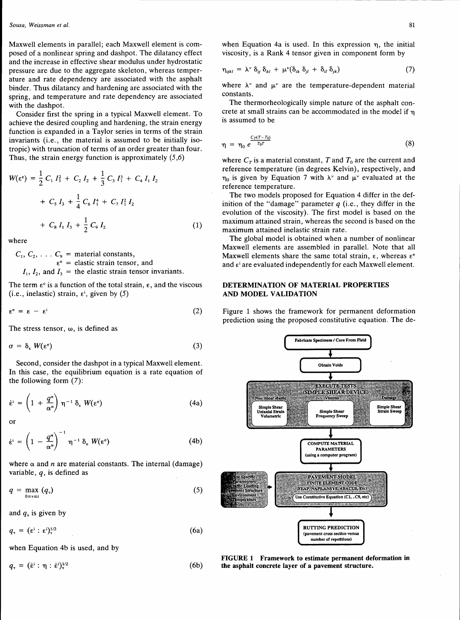Maxwell elements in parallel; each Maxwell element is composed of a nonlinear spring and dashpot. The dilatancy effect and the increase in effective shear modulus under hydrostatic pressure are due to the aggregate skeleton, whereas temperature and rate dependency are associated with the asphalt binder. Thus dilatancy and hardening are associated with the spring, and temperature and rate dependency are associated with the dashpot.

Consider first the spring in a typical Maxwell element. To achieve the desired coupling and hardening, the strain energy function is expanded in a Taylor series in terms of the strain invariants (i.e., the material is assumed to be initially isotropic) with truncation of terms of an order greater than four. Thus, the strain energy function is approximately  $(5,6)$ 

$$
W(\varepsilon^{\varepsilon}) = \frac{1}{2} C_1 I_1^2 + C_2 I_2 + \frac{1}{3} C_3 I_1^3 + C_4 I_1 I_2
$$
  
+  $C_5 I_3 + \frac{1}{4} C_6 I_1^4 + C_7 I_1^2 I_2$   
+  $C_8 I_1 I_3 + \frac{1}{2} C_9 I_2$  (1)

where

 $C_1, C_2, \ldots C_9$  = material constants,  $\varepsilon^e$  = elastic strain tensor, and  $I_1$ ,  $I_2$ , and  $I_3$  = the elastic strain tensor invariants.

The term  $\varepsilon^c$  is a function of the total strain,  $\varepsilon$ , and the viscous (i.e., inelastic) strain,  $\varepsilon^{i}$ , given by (5)

$$
\varepsilon^{\rm e} = \varepsilon - \varepsilon^{\rm i} \tag{2}
$$

The stress tensor, *w,* is defined as

$$
\sigma = \delta_{\epsilon} W(\epsilon^{\epsilon}) \tag{3}
$$

Second, consider the dashpot in a typical Maxwell element. In this case, the equilibrium equation is a rate equation of the following form (7):

$$
\dot{\epsilon}^i = \left(1 + \frac{q^n}{\alpha^n}\right) \eta^{-1} \delta_{\epsilon} W(\epsilon^c) \tag{4a}
$$

or

$$
\dot{\epsilon}^{i} = \left(1 - \frac{q^{n}}{\alpha^{n}}\right)^{-1} \eta^{-1} \delta_{\epsilon} W(\epsilon^{e}) \qquad (4b)
$$

where  $\alpha$  and *n* are material constants. The internal (damage) variable,  $q$ , is defined as

$$
q = \max_{0 \leq \tau \leq t} (q_{\tau}) \tag{5}
$$

and  $q<sub>z</sub>$  is given by

$$
q_{\tau} = (\epsilon^i : \epsilon^i)^{1/2} \tag{6a}
$$

when Equation 4b is used, and by

$$
q_{\tau} = (\dot{\epsilon}^i : \eta : \dot{\epsilon}^i)^{1/2} \tag{6b}
$$

$$
\eta_{ijkl} = \lambda^{\nu} \, \delta_{ij} \, \delta_{kl} + \mu^{\nu} (\delta_{ik} \, \delta_{jl} + \delta_{il} \, \delta_{jk}) \tag{7}
$$

where  $\lambda^{\nu}$  and  $\mu^{\nu}$  are the temperature-dependent material constants.

The thermorheologically simple nature of the asphalt concrete at small strains can be accommodated in the model if  $\eta$ is assumed to be

$$
\eta = \eta_0 e^{\frac{C_T (T-T_0)}{T_0 T}} \tag{8}
$$

where  $C_T$  is a material constant, T and  $T_0$  are the current and reference temperature (in degrees Kelvin), respectively, and  $\eta_0$  is given by Equation 7 with  $\lambda^{\nu}$  and  $\mu^{\nu}$  evaluated at the reference temperature.

The two models proposed for Equation 4 differ in the definition of the "damage" parameter *q* (i.e., they differ in the evolution of the viscosity). The first model is based on the maximum attained strain, whereas the second is based on the maximum attained inelastic strain rate.

The global model is obtained when a number of nonlinear Maxwell elements are assembled in parallel. Note that all Maxwell elements share the same total strain,  $\varepsilon$ , whereas  $\varepsilon^e$ and  $\varepsilon^i$  are evaluated independently for each Maxwell element.

# DETERMINATION OF MATERIAL PROPERTIES AND MODEL VALIDATION

Figure 1 shows the framework for permanent deformation prediction using the proposed constitutive equation. The de-



FIGURE 1 Framework to estimate permanent deformation in the asphalt concrete layer of a pavement structure.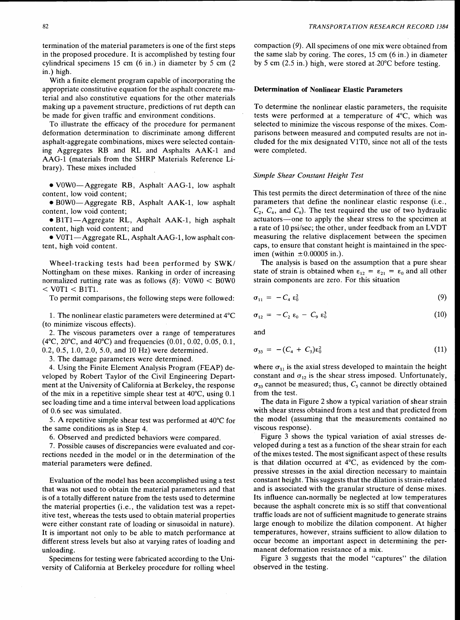termination of the material parameters is one of the first steps in the proposed procedure. It is accomplished by testing four cylindrical specimens 15 cm (6 in.) in diameter by 5 cm (2 in.) high.

With a finite element program capable of incorporating the appropriate constitutive equation for the asphalt concrete material and also constitutive equations for the other materials making up a pavement structure, predictions of rut depth can be made for given traffic and environment conditions.

To illustrate the efficacy of the procedure for permanent deformation determination to discriminate among different asphalt-aggregate combinations, mixes were selected containing Aggregates RB and RL and Asphalts AAK-1 and AAG-1 (materials from the SHRP Materials Reference Library). These mixes included

• VOWO-Aggregate RB, Asphalt· AAG-1, low asphalt content, low void content;

• BOWO-Aggregate RB, Asphalt AAK-1, low asphalt content, low void content;

• B1T1-Aggregate RL, Asphalt AAK-1, high asphalt content, high void content; and

• VOTl-Aggregate RL, Asphalt AAG-1, low asphalt content, high void content.

Wheel-tracking tests had been performed by SWK/ Nottingham on these mixes. Ranking in order of increasing normalized rutting rate was as follows  $(8)$ : V0W0 < B0W0  $<$  V0T1  $<$  B1T1.

To permit comparisons, the following steps were followed:

1. The nonlinear elastic parameters were determined at  $4^{\circ}C$ (to minimize viscous effects).

2. The viscous parameters over a range of temperatures (4°C, 20°C, and 40°C) and frequencies (0.01, 0.02, 0.05, 0.1, 0.2, 0.5, 1.0, 2.0, 5.0, and 10 Hz) were determined.

3. The damage parameters were determined.

4. Using the Finite Element Analysis Program (FEAP) developed by Robert Taylor of the Civil Engineering Department at the University of California at Berkeley, the response of the mix in a repetitive simple shear test at 40°C, using 0.1 sec loading time and a time interval between load applications of 0.6 sec was simulated.

5. A repetitive simple shear test was performed at 40°C for the same conditions as in Step 4.

6. Observed and predicted behaviors were compared.

7. Possible causes of discrepancies were evaluated and corrections needed in the model or in the determination of the material parameters were defined.

Evaluation of the model has been accomplished using a test that was not used to obtain the material parameters and that is of a totally different nature from the tests used to determine the material properties (i.e., the validation test was a repetitive test, whereas the tests used to obtain material properties were either constant rate of loading or sinusoidal in nature). It is important not only to be able to match performance at different stress levels but also at varying rates of loading and unloading.

Specimens for testing were fabricated according to the University of California at Berkeley procedure for rolling wheel compaction (9). All specimens of one mix were obtained from the same slab by coring. The cores, 15 cm (6 in.) in diameter by 5 cm (2.5 in.) high, were stored at .20°C before testing.

# Determination of Nonlinear Elastic Parameters

To determine the nonlinear elastic parameters, the requisite tests were performed at a temperature of 4°C, which was selected to minimize the viscous response of the mixes. Comparisons between measured and computed results are not included for the mix designated V1T0, since not all of the tests were completed.

#### *Simple Shear Constant Height Test*

This test permits the direct determination of three of the nine parameters that define the nonlinear elastic response (i.e.,  $C_2$ ,  $C_4$ , and  $C_9$ ). The test required the use of two hydraulic actuators-one to apply the shear stress to the specimen at a rate of 10 psi/sec; the other, under feedback from an LVDT measuring the relative displacement between the specimen caps, to ensure that constant height is maintained in the specimen (within  $\pm 0.00005$  in.).

The analysis is based on the assumption that a pure shear state of strain is obtained when  $\varepsilon_{12} = \varepsilon_{21} = \varepsilon_0$  and all other strain components are zero. For this situation

$$
\sigma_{11} = -C_4 \varepsilon_0^2 \tag{9}
$$

$$
\sigma_{12} = -C_2 \varepsilon_0 - C_9 \varepsilon_0^3 \tag{10}
$$

and

$$
\sigma_{33} = - (C_4 + C_5) \varepsilon_0^2 \tag{11}
$$

where  $\sigma_{11}$  is the axial stress developed to maintain the height constant and  $\sigma_{12}$  is the shear stress imposed. Unfortunately,  $\sigma_{33}$  cannot be measured; thus,  $C_5$  cannot be directly obtained from the test.

The data in Figure 2 show a typical variation of shear strain with shear stress obtained from a test and that predicted from the model (assuming that the measurements contained no viscous response).

Figure 3 shows the typical variation of axial stresses developed during a test as a function of the shear strain for each of the mixes tested. The most significant aspect of these results is that dilation occurred at 4°C, as evidenced by the compressive stresses in the axial direction necessary to maintain constant height. This suggests that the dilation is strain-related and is associated with the granular structure of dense mixes. Its influence can.normally be neglected at low temperatures because the asphalt concrete mix is so stiff that conventional traffic loads are not of sufficient magnitude to generate strains large enough to mobilize the dilation component. At higher temperatures, however, strains sufficient to allow dilation to occur become an important aspect in determining the permanent deformation resistance of a mix.

Figure 3 suggests that the model "captures" the dilation observed in the testing.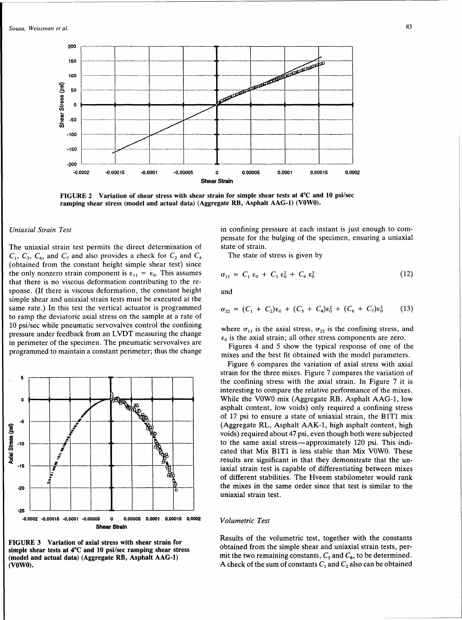

FIGURE 2 Variation of shear stress with shear strain for simple shear tests at 4°C and 10 psi/sec ramping shear stress (model and actual data) (Aggregate RB, Asphalt AAG-1) (VOWO).

#### *Uniaxial Strain Test*

The uniaxial strain test permits the direct determination of  $C_1$ ,  $C_3$ ,  $C_6$ , and  $C_7$  and also provides a check for  $C_2$  and  $C_4$ (obtained from the constant height simple shear test) since the only nonzero strain component is  $\varepsilon_{11} = \varepsilon_0$ . This assumes that there is no viscous deformation contributing to the response. (If there is viscous deformation, the constant height simple shear and uniaxial strain tests must be executed at the same rate.) In this test the vertical actuator is programmed to ramp the deviatoric axial stress on the sample at a rate of 10 psi/sec while pneumatic servovalves control the confining pressure under feedback from an LVDT measuring the change in perimeter of the specimen. The pneumatic servovalves are programmed to maintain a constant perimeter; thus the change



FIGURE 3 Variation of axial stress with shear strain for simple shear tests at 4°C and 10 psi/sec ramping shear stress (model and actual data) (Aggregate RB, Asphalt AAG-1) (VOWO).

in confining pressure at each instant is just enough to compensate for the bulging of the specimen, ensuring a uniaxial state of strain.

The state of stress is given by

$$
\sigma_{11} = C_1 \varepsilon_0 + C_3 \varepsilon_0^2 + C_6 \varepsilon_0^3 \tag{12}
$$

and

$$
\sigma_{22} = (C_1 + C_2)\epsilon_0 + (C_3 + C_4)\epsilon_0^2 + (C_6 + C_7)\epsilon_0^3 \qquad (13)
$$

where  $\sigma_{11}$  is the axial stress,  $\sigma_{22}$  is the confining stress, and  $\varepsilon_0$  is the axial strain; all other stress components are zero.

Figures 4 and 5 show the typical response of one of the mixes and the best fit obtained with the model parameters.

Figure 6 compares the variation of axial stress with axial strain for the three mixes. Figure 7 compares the variation of the confining stress with the axial strain. In Figure 7 it is interesting to compare the relative performance of the mixes. While the VOWO mix (Aggregate RB, Asphalt AAG-1, low asphalt content, low voids) only required a confining stress of 17 psi to ensure a state of uniaxial strain, the BlTl mix (Aggregate RL, Asphalt AAK-1, high asphalt content, high voids) required about 47 psi, even though both were subjected to the same axial stress-approximately 120 psi. This indicated that Mix B1T1 is less stable than Mix V0W0. These results are significant in that they demonstrate that the uniaxial strain test is capable of differentiating between mixes of different stabilities. The Hveem stabilometer would rank the mixes in the same order since that test is similar to the uniaxial strain test.

#### *Volumetric Test*

Results of the volumetric test, together with the constants obtained from the simple shear and uniaxial strain tests, permit the two remaining constants,  $C_5$  and  $C_8$ , to be determined. A check of the sum of constants  $C_1$  and  $C_2$  also can be obtained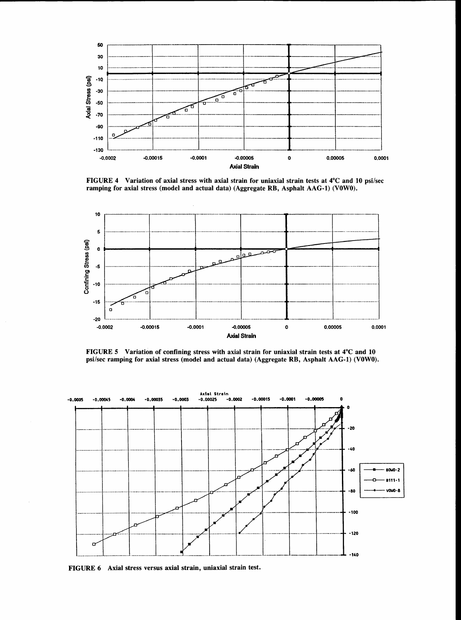

FIGURE 4 Variation of axial stress with axial strain for uniaxial strain tests at 4°C and 10 psi/sec ramping for axial stress (model and actual data) (Aggregate RB, Asphalt AAG-1) (VOWO).



FIGURE 5 Variation of confining stress with axial strain for uniaxial strain tests at 4°C and 10 psi/sec ramping for axial stress (model and actual data) (Aggregate RB, Asphalt AAG-1) (VOWO).



FIGURE 6 Axial stress versus axial strain, uniaxial strain test.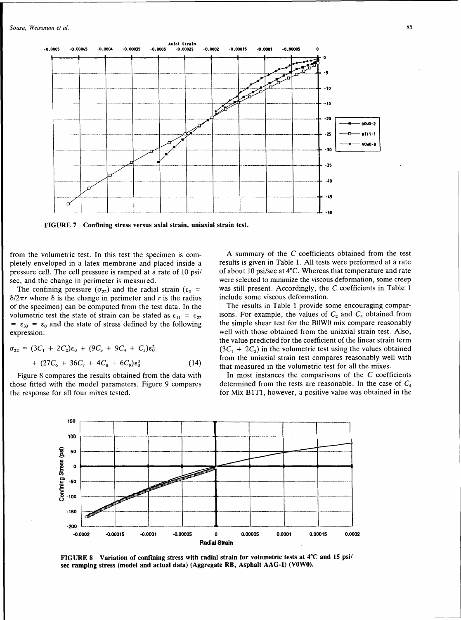

FIGURE 7 Confining stress versus axial strain, uniaxial strain test.

from the volumetric test. In this test the specimen is completely enveloped in a latex membrane and placed inside a pressure cell. The cell pressure is ramped at a rate of 10 psi/ sec, and the change in perimeter is measured.

The confining pressure  $(\sigma_{22})$  and the radial strain ( $\varepsilon_0$  =  $\delta/2\pi r$  where  $\delta$  is the change in perimeter and *r* is the radius of the specimen) can be computed from the test data. In the volumetric test the state of strain can be stated as  $\varepsilon_{11} = \varepsilon_{22}$  $= \epsilon_{33} = \epsilon_0$  and the state of stress defined by the following expression:

$$
\sigma_{22} = (3C_1 + 2C_2)\varepsilon_0 + (9C_3 + 9C_4 + C_5)\varepsilon_0^2
$$
  
+ (27C\_6 + 36C\_7 + 4C\_8 + 6C\_9)\varepsilon\_0^3 (14)

Figure 8 compares the results obtained from the data with those fitted with the model parameters. Figure 9 compares the response for all four mixes tested.

A summary of the C coefficients obtained from the test results is given in Table 1. All tests were performed at a rate of about 10 psi/sec at 4°C. Whereas that temperature and rate were selected to minimize the viscous deformation, some creep was still present. Accordingly, the C coefficients in Table 1 include some viscous deformation.

The results in Table 1 provide some encouraging comparisons. For example, the values of  $C_2$  and  $C_4$  obtained from the simple shear test for the BOWO mix compare reasonably well with those obtained from the uniaxial strain test. Also, the value predicted for the coefficient of the linear strain term  $(3C_1 + 2C_2)$  in the volumetric test using the values obtained from the uniaxial strain test compares reasonably well with that measured in the volumetric test for all the mixes.

In most instances the comparisons of the  $C$  coefficients determined from the tests are reasonable. In the case of  $C_4$ for Mix B1T1, however, a positive value was obtained in the



FIGURE 8 Variation of confining stress with radial strain for volumetric tests at 4°C and 15 psi/ sec ramping stress (model and actual data) (Aggregate RB, Asphalt AAG-1) (VOWO).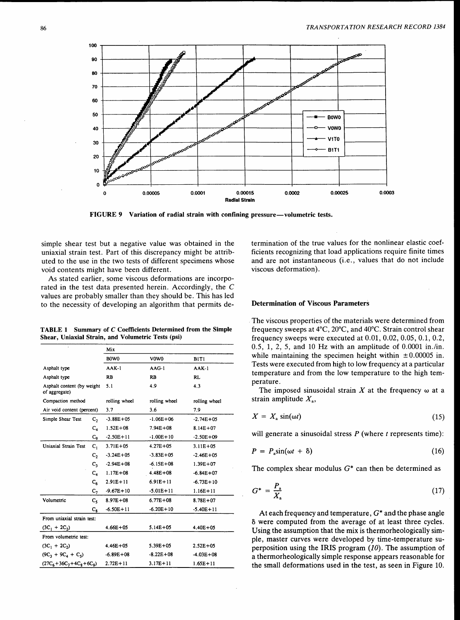

FIGURE 9 Variation of radial strain with confining pressure—volumetric tests.

simple shear test but a negative value was obtained in the uniaxial strain test. Part of this discrepancy might be attributed to the use in the two tests of different specimens whose void contents might have been different.

As stated earlier, some viscous deformations are incorporated in the test data presented herein. Accordingly, the C values are probably smaller than they should be. This has led to the necessity of developing an algorithm that permits de-

TABLE 1 Summary of C Coefficients Determined from the Simple Shear, Uniaxial Strain, and Volumetric Tests (psi)

|                                             |                | Mix                           |               |                               |  |  |
|---------------------------------------------|----------------|-------------------------------|---------------|-------------------------------|--|--|
|                                             |                | B <sub>0</sub> W <sub>0</sub> | V0W0          | BIT1                          |  |  |
| Asphalt type                                |                | $AAK-1$                       | $AAG-1$       | $AAK-1$                       |  |  |
| Asphalt type                                |                | <b>RB</b>                     | <b>RB</b>     | RL                            |  |  |
| Asphalt content (by weight<br>of aggregate) |                | 5.1                           | 4.9           | 4.3                           |  |  |
| Compaction method                           |                | rolling wheel                 | rolling wheel | rolling wheel                 |  |  |
| Air void content (percent)                  |                | 3.7                           | 3.6           | 7.9                           |  |  |
| Simple Shear Test                           | c,             | $-3.88E + 05$                 | $-1.06E + 06$ | $-2.74E + 05$                 |  |  |
|                                             | $C_4$          | $1.52E + 08$                  | $7.94E + 08$  | $8.14E + 07$                  |  |  |
|                                             | C,             | $-2.50E + 11$                 | $-1.00E + 10$ | $-2.50E + 09$                 |  |  |
| <b>Uniaxial Strain Test</b>                 | $C_1$          | $3.71E + 05$                  | $4.27E + 05$  | $3.11E + 05$                  |  |  |
|                                             | C <sub>2</sub> | $-3.24E + 05$                 | $-3.83E + 05$ | $-2.46E + 05$<br>$1.39E + 07$ |  |  |
|                                             | $C_1$          | $-2.94E + 08$                 | $-6.15E + 08$ |                               |  |  |
|                                             | $C_4$<br>$C_6$ |                               | $4.48E + 08$  | $-6.84E + 07$                 |  |  |
|                                             |                |                               | $6.91E + 11$  | $-6.73E+10$                   |  |  |
|                                             | $c_{\tau}$     | $-9.67E + 10$                 | $-5.01E + 11$ | $1.16E + 11$                  |  |  |
| Volumetric                                  | $c_{\rm s}$    | $8.97E + 08$                  | $6.77E + 08$  | $8.78E + 07$                  |  |  |
|                                             | $C_{8}$        | $-6.50E + 11$                 | $-6.20E + 10$ | $-5.40E + 11$                 |  |  |
| From uniaxial strain test:                  |                |                               |               |                               |  |  |
| $(3C_1 + 2C_2)$                             |                | $4.66E + 05$                  | $5.14E + 05$  | $4.40E + 05$                  |  |  |
| From volumetric test:                       |                |                               |               |                               |  |  |
| $(3C_1 + 2C_2)$                             |                | $4.46E + 05$                  | $5.39E + 05$  | $2.52E + 05$                  |  |  |
| $(9C_1 + 9C_4 + C_5)$                       |                | $-6.89E + 08$                 | $-8.22E + 08$ | $-4.03E + 08$                 |  |  |
| $(27C_6 + 36C_7 + 4C_8 + 6C_9)$             |                | $2.72E + 11$                  | $3.17E + 11$  | $1.65E + 11$                  |  |  |

termination of the true values for the nonlinear elastic coefficients recognizing that load applications require finite times and are not instantaneous (i.e., values that do not include viscous deformation).

#### Determination of Viscous Parameters

The viscous properties of the materials were determined from frequency sweeps at 4°C, 20°C, and 40°C. Strain control shear frequency sweeps were executed at 0.01, 0.02, 0.05, 0.1, 0.2,  $0.5, 1, 2, 5,$  and 10 Hz with an amplitude of  $0.0001$  in./in. while maintaining the specimen height within  $\pm 0.00005$  in. Tests were executed from high to low frequency at a particular temperature and from the low temperature to the high temperature.

The imposed sinusoidal strain  $X$  at the frequency  $\omega$  at a strain amplitude  $X_{\rm a}$ ,

$$
X = X_{\rm a} \sin(\omega t) \tag{15}
$$

will generate a sinusoidal stress  $P$  (where  $t$  represents time):

$$
P = P_a \sin(\omega t + \delta) \tag{16}
$$

The complex shear modulus  $G^*$  can then be determined as

$$
G^* = \frac{P_a}{X_a} \tag{17}
$$

At each frequency and temperature,  $G^*$  and the phase angle 8 were computed from the average of at least three cycles. Using the assumption that the mix is thermorheologically simple, master curves were developed by time-temperature superposition using the IRIS program  $(10)$ . The assumption of a thermorheologically simple response appears reasonable for the small deformations used in the test, as seen in Figure 10.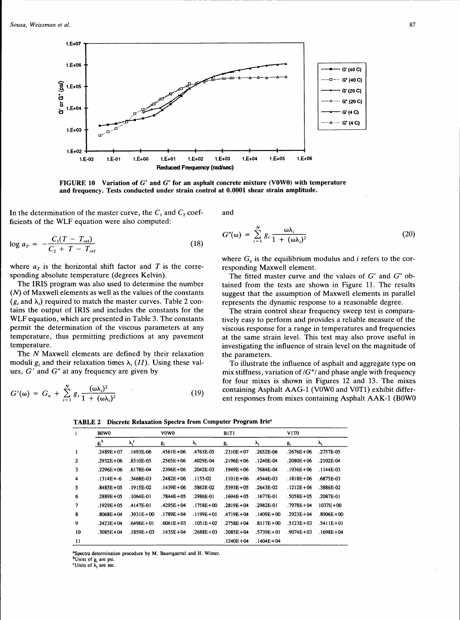

FIGURE 10 Variation of *G'* and *G"* for an asphalt concrete mixture (VOWO) with temperature and frequency. Tests conducted under strain control at 0.0001 shear strain amplitude.

In the determination of the master curve, the  $C_1$  and  $C_2$  coefficients of the WLF equation were also computed:

$$
\log a_T = -\frac{C_1(T - T_{\text{ref}})}{C_2 + T - T_{\text{ref}}}
$$
\n(18)

where  $a_r$  is the horizontal shift factor and T is the corresponding absolute temperature (degrees Kelvin).

The IRIS program was also used to determine the number  $(N)$  of Maxwell elements as well as the values of the constants  $(g_i \text{ and } \lambda_i)$  required to match the master curves. Table 2 contains the output of IRIS and includes the constants for the WLF equation, which are presented in Table 3. The constants permit the determination of the viscous parameters at any temperature, thus permitting predictions at any pavement temperature.

The N Maxwell elements are defined by their relaxation moduli  $g_i$  and their relaxation times  $\lambda_i$  (11). Using these values,  $G'$  and  $G''$  at any frequency are given by

$$
G'(\omega) = G_{\rm e} + \sum_{i=1}^{N} g_i \frac{(\omega \lambda_i)^2}{1 + (\omega \lambda_i)^2}
$$
 (19)

and

$$
G''(\omega) = \sum_{i=1}^{N} g_i \frac{\omega \lambda_i}{1 + (\omega \lambda_i)^2}
$$
 (20)

where  $G<sub>e</sub>$  is the equilibrium modulus and *i* refers to the corresponding Maxwell element.

The fitted master curve and the values of  $G'$  and  $G''$  obtained from the tests are shown in Figure 11. The results suggest that the assumption of Maxwell elements in parallel represents the dynamic response to a reasonable degree.

The strain control shear frequency sweep test is comparatively easy to perform and provides a reliable measure of the viscous response for a range in temperatures and frequencies at the same strain level. This test may also prove useful in investigating the influence of strain level on the magnitude of the parameters.

To illustrate the influence of asphalt and aggregate type on mix stiffness, variation of  $/G^*$  and phase angle with frequency for four mixes is shown in Figures 12 and 13. The mixes containing Asphalt AAG-1 (V0W0 and V0T1) exhibit different responses from mixes containing Asphalt AAK-1 (BOWO

TABLE 2 Discrete Relaxation Spectra from Computer Program Iris<sup>a</sup>

| i            | B <sub>0</sub> W <sub>0</sub> |               | V0W0          |               | B1T1          |               | V <sub>1</sub> T <sub>0</sub> |               |
|--------------|-------------------------------|---------------|---------------|---------------|---------------|---------------|-------------------------------|---------------|
|              | $\mathbf{g_i}^{\mathrm{b}}$   | $\lambda_i^c$ | $g_i$         | λ,            | g:            | λ,            | g                             | λ,            |
| 1            | $.2489E + 07$                 | .1493E-06     | $.4561E + 06$ | 4763E-05      | $.2310E + 07$ | .2652E-06     | $.2676E + 06$                 | .2757E-05     |
| $\mathbf{2}$ | $.2932E + 06$                 | .8310E-05     | $.2565E + 06$ | .4029E-04     | $.2196E + 06$ | 1240E-04      | $.2080E + 06$                 | .2102E-04     |
| 3            | .2296E+06                     | .6178E-04     | $.2396E + 06$ | .2042E-03     | $.1949E + 06$ | .7684E-04     | $.1936E + 06$                 | .1144E-03     |
| 4            | $.1314E + -6$                 | .3468E-03     | $.2482E + 06$ | $.1155 - 02$  | $.1101E + 06$ | .4544E-03     | $.1818E + 06$                 | .6875E-03     |
| 5            | $.8485E + 05$                 | .1915E-02     | $.1439E + 06$ | .5862E-02     | $.5393E + 05$ | .2643E-02     | $.1212E + 06$                 | .3886E-02     |
| 6            | .2889E+05                     | .1064E-01     | $.7844E + 05$ | .2986E-01     | $.1694E + 05$ | .1677E-01     | $.5058E + 05$                 | .2087E-01     |
|              | $.1929E + 05$                 | .4147E-01     | $4295E + 04$  | $.1758E + 00$ | $.2819E + 04$ | .2982E-01     | $.7978E + 04$                 | $1037E + 00$  |
| 8            | $.8068E + 04$                 | $.3931E + 00$ | $.1789E + 04$ | .1199E+01     | .4719E+04     | $.1409E + 00$ | .2923E+04                     | $.8906E + 00$ |
| 9            | $.2423E + 04$                 | $.6496E + 01$ | $.6061E + 03$ | $.1051E + 02$ | $.2758E + 04$ | $.8117E + 00$ | $.5123E + 03$                 | $.5411E + 01$ |
| 10           | $.3085E + 04$                 | $.1859E + 03$ | $.1435E + 04$ | $.2688E + 03$ | $.2085E + 04$ | $.5739E + 01$ | $.9074E + 03$                 | $.1698E + 04$ |
| 11           |                               |               |               |               | $.1240E + 04$ | $.1404E + 04$ |                               |               |

8 Spectra determination procedure by M. Baumgaertel and H. Winter. <sup>b</sup>Units of  $g_i$  are psi.<br>
<sup>c</sup>Units of  $\lambda_i$  are sec.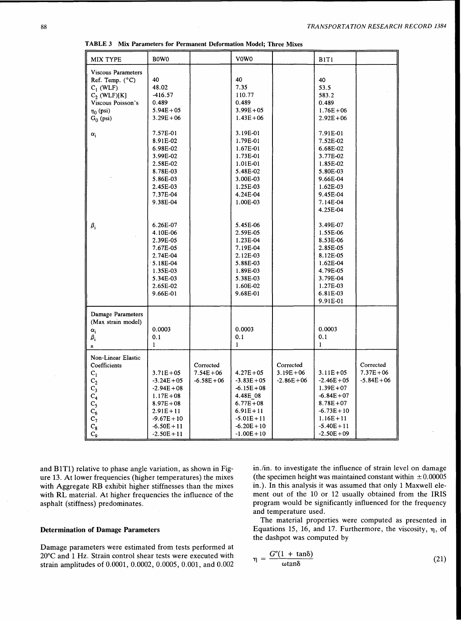| <b>MIX TYPE</b>                                                                                                                                            | B0W0                                                                                                                                                                                      |                                            | V0W0                                                                                                                                                                                  |                                            |                                                                                                                                                                                                          |                                            |
|------------------------------------------------------------------------------------------------------------------------------------------------------------|-------------------------------------------------------------------------------------------------------------------------------------------------------------------------------------------|--------------------------------------------|---------------------------------------------------------------------------------------------------------------------------------------------------------------------------------------|--------------------------------------------|----------------------------------------------------------------------------------------------------------------------------------------------------------------------------------------------------------|--------------------------------------------|
| <b>Viscous Parameters</b><br>Ref. Temp. $(^{\circ}C)$<br>$C_1$ (WLF)<br>$C_2$ (WLF)[K]<br>Viscous Poisson's<br>$\eta_0$ (psi)<br>$G_0$ (psi)<br>$\alpha_i$ | 40<br>48.02<br>$-416.57$<br>0.489<br>$5.94E + 05$<br>$3.29E + 06$<br>7.57E-01<br>8.91E-02<br>6.98E-02<br>3.99E-02<br>2.58E-02<br>8.78E-03<br>5.86E-03<br>2.45E-03<br>7.37E-04<br>9.38E-04 |                                            | 40<br>7.35<br>110.77<br>0.489<br>$3.99E + 05$<br>$1.43E + 06$<br>3.19E-01<br>1.79E-01<br>1.67E-01<br>1.73E-01<br>1.01E-01<br>5.48E-02<br>3.00E-03<br>1.25E-03<br>4.24E-04<br>1.00E-03 |                                            | B1T1<br>40<br>53.5<br>583.2<br>0.489<br>$1.76E + 06$<br>$2.92E + 06$<br>7.91E-01<br>7.52E-02<br>6.68E-02<br>3.77E-02<br>1.85E-02<br>5.80E-03<br>9.66E-04<br>1.62E-03<br>9.45E-04<br>7.14E-04<br>4.25E-04 |                                            |
| $\pmb{\beta}_i$                                                                                                                                            | 6.26E-07<br>4.10E-06<br>2.39E-05<br>7.67E-05<br>2.74E-04<br>5.18E-04<br>1.35E-03<br>5.34E-03<br>2.65E-02<br>9.66E-01                                                                      |                                            | 5.45E-06<br>2.59E-05<br>1.23E-04<br>7.19E-04<br>2.12E-03<br>5.88E-03<br>1.89E-03<br>5.38E-03<br>1.60E-02<br>9.68E-01                                                                  |                                            | 3.49E-07<br>1.55E-06<br>8.53E-06<br>2.85E-05<br>8.12E-05<br>1.62E-04<br>4.79E-05<br>3.79E-04<br>1.27E-03<br>6.81E-03<br>9.91E-01                                                                         |                                            |
| Damage Parameters<br>(Max strain model)<br>$\alpha_i$<br>$\beta_{\rm i}$<br>$\mathbf{n}$                                                                   | 0.0003<br>0.1<br>$\mathbf{I}$                                                                                                                                                             |                                            | 0.0003<br>0.1<br>1                                                                                                                                                                    |                                            | 0.0003<br>0.1<br>$\mathbf{1}$                                                                                                                                                                            |                                            |
| Non-Linear Elastic<br>Coefficients<br>$C_1$<br>$C_2$<br>$C_3$<br>$\overline{C}_4$<br>c <sub>5</sub><br>$C_6$<br>$C_7$<br>$\mathbf{C_8}$<br>$C_{9}$         | $3.71E + 05$<br>$-3.24E + 05$<br>$-2.94E + 08$<br>$1.17E + 08$<br>$8.97E + 08$<br>$2.91E + 11$<br>$-9.67E + 10$<br>$-6.50E + 11$<br>$-2.50E + 11$                                         | Corrected<br>$7.54E + 06$<br>$-6.58E + 06$ | $4.27E + 05$<br>$-3.83E + 05$<br>$-6.15E + 08$<br>4.48E 08<br>$6.77E + 08$<br>$6.91E + 11$<br>$-5.01E + 11$<br>$-6.20E + 10$<br>$-1.00E + 10$                                         | Corrected<br>$3.19E + 06$<br>$-2.86E + 06$ | $3.11E + 05$<br>$-2.46E + 05$<br>$1.39E + 07$<br>$-6.84E + 07$<br>$8.78E + 07$<br>$-6.73E + 10$<br>$1.16E + 11$<br>$-5.40E + 11$<br>$-2.50E + 09$                                                        | Corrected<br>$7.37E + 06$<br>$-5.84E + 06$ |

TABLE 3 Mix Parameters for Permanent Deformation Model; Three Mixes

and BlTl) relative to phase angle variation, as shown in Figure 13. At lower frequencies (higher temperatures) the mixes with Aggregate RB exhibit higher stiffnesses than the mixes with RL material. At higher frequencies the influence of the asphalt (stiffness) predominates.

## Determination of Damage Parameters

Damage parameters were estimated from tests performed at 20°C and 1 Hz. Strain control shear tests were executed with strain amplitudes of 0.0001, 0.0002, 0.0005, 0.001, and 0.002

in./in. to investigate the influence of strain level on damage (the specimen height was maintained constant within  $\pm 0.00005$ in.). In this analysis it was assumed that only 1 Maxwell element out of the 10 or 12 usually obtained from the IRIS program would be significantly influenced for the frequency and temperature used.

The material properties were computed as presented in Equations 15, 16, and 17. Furthermore, the viscosity,  $\eta$ , of the dashpot was computed by

$$
\eta = \frac{G''(1 + \tan\delta)}{\omega \tan\delta} \tag{21}
$$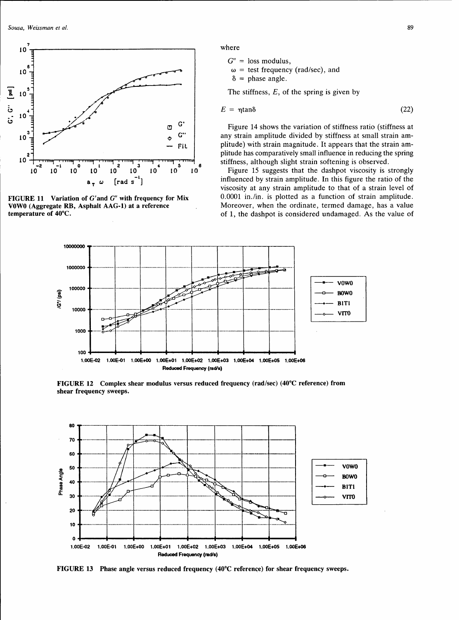

FIGURE 11 Variation of G'and *G"* with frequency for Mix VOWO (Aggregate RB, Asphalt AAG-1) at a reference temperature of 40°C.

where

 $G'' =$  loss modulus,  $\omega$  = test frequency (rad/sec), and  $\delta$  = phase angle.

The stiffness,  $E$ , of the spring is given by

$$
E = \eta \tan \delta \tag{22}
$$

Figure 14 shows the variation of stiffness ratio (stiffness at any strain amplitude divided by stiffness at small strain amplitude) with strain magnitude. It appears that the strain amplitude has comparatively small influence in reducing the spring stiffness, although slight strain softening is observed.

Figure 15 suggests that the dashpot viscosity is strongly influenced by strain amplitude. In this figure the ratio of the viscosity at any strain amplitude to that of a strain level of 0.0001 in./in. is plotted as a function of strain amplitude. Moreover, when the ordinate, termed damage, has a value of 1, the dashpot is considered undamaged. As the value of



FIGURE 12 Complex shear modulus versus reduced frequency (rad/sec) (40°C reference) from shear frequency sweeps.



FIGURE 13 Phase angle versus reduced frequency (40°C referem;e) for shear frequency sweeps.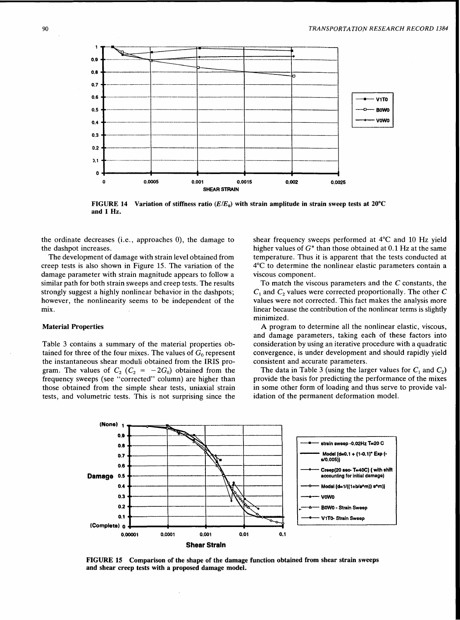

FIGURE 14 Variation of stiffness ratio  $(E/E_0)$  with strain amplitude in strain sweep tests at 20°C and 1 Hz.

the ordinate decreases (i.e., approaches 0), the damage to the dashpot increases.

The development of damage with strain level obtained from creep tests is also shown in Figure 15. The variation of the damage parameter with strain magnitude appears to follow a similar path for both strain sweeps and creep tests. The results strongly suggest a highly nonlinear behavior in the dashpots; however, the nonlinearity seems to be independent of the mix.

## Material Properties

Table 3 contains a summary of the material properties obtained for three of the four mixes. The values of  $G_0$  represent the instantaneous shear moduli obtained from the IRIS program. The values of  $C_2$  ( $C_2 = -2G_0$ ) obtained from the frequency sweeps (see "corrected" column) are higher than those obtained from the simple shear tests, uniaxial strain tests, and volumetric tests. This is not surprising since the shear frequency sweeps performed at 4°C and 10 Hz yield higher values of  $G^*$  than those obtained at 0.1 Hz at the same temperature. Thus it is apparent that the tests conducted at 4°C to determine the nonlinear elastic parameters contain a viscous component.

To match the viscous parameters and the  $C$  constants, the  $C_1$  and  $C_2$  values were corrected proportionally. The other C values were not corrected. This fact makes the analysis more linear because the contribution of the nonlinear terms is slightly minimized.

A program to determine all the nonlinear elastic, viscous, and damage parameters, taking each of these factors into consideration by using an iterative procedure with a quadratic convergence, is under development and should rapidly yield consistent and accurate parameters.

The data in Table 3 (using the larger values for  $C_1$  and  $C_2$ ) provide the basis for predicting the performance of the mixes in some other form of loading and thus serve to provide validation of the permanent deformation model.



FIGURE 15 Comparison of the shape of the damage function obtained from shear strain sweeps and shear creep tests with a proposed damage model.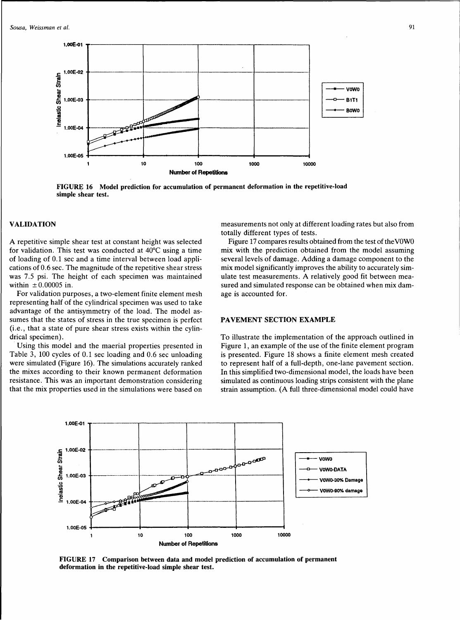

FIGURE 16 Model prediction for accumulation of permanent deformation in the repetitive-load simple shear test.

# VALIDATION

A repetitive simple shear test at constant height was selected for validation. This test was conducted at 40°C using a time of loading of 0.1 sec and a time interval between load applications of 0.6 sec. The magnitude of the repetitive shear stress was 7 .5 psi. The height of each specimen was maintained within  $\pm 0.00005$  in.

For validation purposes, a two-element finite element mesh representing half of the cylindrical specimen was used to take advantage of the antisymmetry of the load. The model assumes that the states of stress in the true specimen is perfect (i.e., that a state of pure shear stress exists within the cylindrical specimen).

Using this model and the maerial properties presented in Table 3, 100 cycles of 0.1 sec loading and 0.6 sec unloading were simulated (Figure 16). The simulations accurately ranked the mixes according to their known permanent deformation resistance. This was an important demonstration considering that the mix properties used in the simulations were based on measurements not only at different loading rates but also from totally different types of tests.

Figure 17 compares results obtained from the test of the VOWO mix with the prediction obtained from the model assuming several levels of damage. Adding a damage component to the mix model significantly improves the ability to accurately simulate test measurements. A relatively good fit between measured and simulated response can be obtained when mix damage is accounted for.

## PAVEMENT SECTION EXAMPLE

To illustrate the implementation of the approach outlined in Figure 1, an example of the use of the finite element program is presented. Figure 18 shows a finite element mesh created to represent half of a full-depth, one-lane pavement section. In this simplified two-dimensional model, the loads have been simulated as continuous loading strips consistent with the plane strain assumption. (A full three-dimensional model could have



FIGURE 17 Comparison between data and model prediction of accumulation of permanent deformation in the repetitive-load simple shear test.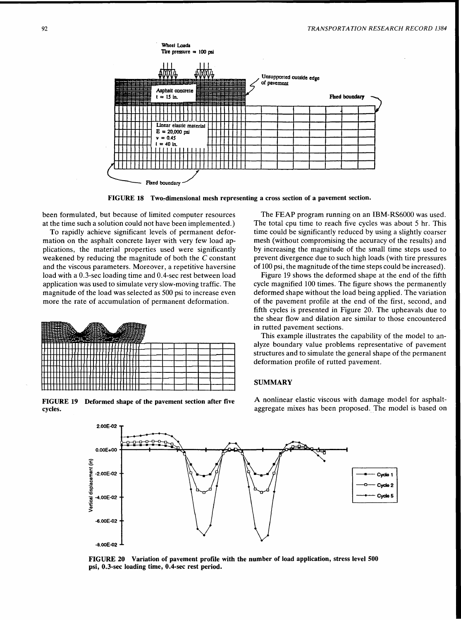

FIGURE 18 Two-dimensional mesh representing a cross section of a pavement section.

been formulated, but because of limited computer resources at the time such a solution could not have been implemented.)

To rapidly achieve significant levels of permanent deformation on the asphalt concrete layer with very few load applications, the material properties used were significantly weakened by reducing the magnitude of both the C constant and the viscous parameters. Moreover, a repetitive haversine load with a 0.3-sec loading time and 0.4-sec rest between load application was used to simulate very slow-moving traffic. The magnitude of the load was selected as 500 psi to increase even more the rate of accumulation of permanent deformation.



FIGURE 19 Deformed shape of the pavement section after five cycles.

The FEAP program running on an IBM-RS6000 was used. The total cpu time to reach five cycles was about 5 hr. This time could be significantly reduced by using a slightly coarser mesh (without compromising the accuracy of the results) and by increasing the magnitude of the small time steps used to prevent divergence due to such high loads (with tire pressures of 100 psi, the magnitude of the time steps could be increased).

Figure 19 shows the deformed shape at the end of the fifth cycle magnified 100 times. The figure shows the permanently deformed shape without the load being applied. The variation of the pavement profile at the end of the first, second, and fifth cycles is presented in Figure 20. The upheavals due to the shear flow and dilation are similar to those encountered in rutted pavement sections.

This example illustrates the capability of the model to analyze boundary value problems representative of pavement structures and to simulate the general shape of the permanent deformation profile of rutted pavement.

## **SUMMARY**

A nonlinear elastic viscous with damage model for asphaltaggregate mixes has been proposed. The model is based on



FIGURE 20 Variation of pavement profile with the number of load application, stress level 500 psi, 0.3-sec loading time, 0.4-sec rest period.